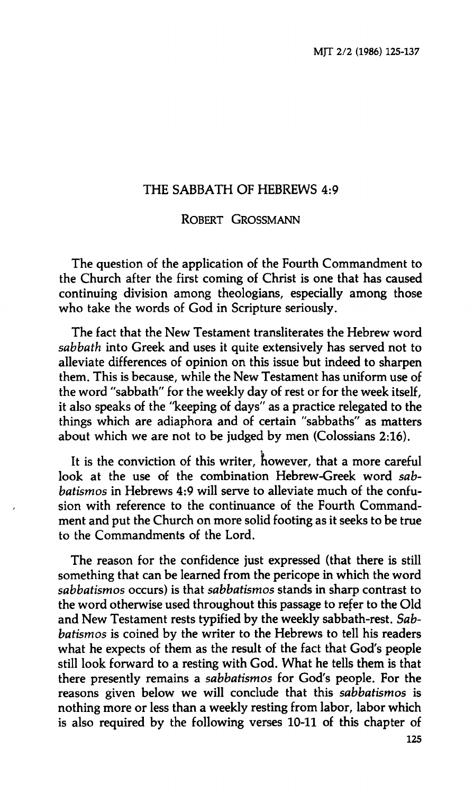# **THE SABBATH OF HEBREWS 4:9**

## **ROBERT GROSSMANN**

**The question of the application of the Fourth Commandment to the Church after the first coming of Christ is one that has caused continuing division among theologians, especially among those who take the words of God in Scripture seriously.** 

**The fact that the New Testament transliterates the Hebrew word**  *sabbath* **into Greek and uses it quite extensively has served not to alleviate differences of opinion on this issue but indeed to sharpen them. This is because, while the New Testament has uniform use of the word "sabbath" for the weekly day of rest or for the week itself, it also speaks of the "keeping of days" as a practice relegated to the things which are adiaphora and of certain "sabbaths" as matters about which we are not to be judged by men (Colossians 2:16).** 

It is the conviction of this writer, however, that a more careful **look at the use of the combination Hebrew-Greek word** *sabbatismos* **in Hebrews 4:9 will serve to alleviate much of the confusion with reference to the continuance of the Fourth Commandment and put the Church on more solid footing as it seeks to be true to the Commandments of the Lord.** 

**The reason for the confidence just expressed (that there is still something that can be learned from the pericope in which the word**  *sabbatismos* **occurs) is that** *sabbatismos* **stands in sharp contrast to the word otherwise used throughout this passage to refer to the Old and New Testament rests typified by the weekly sabbath-rest.** *Sabbatismos* **is coined by the writer to the Hebrews to tell his readers what he expects of them as the result of the fact that God's people still look forward to a resting with God. What he tells them is that there presently remains a** *sabbatismos* **for God's people. For the reasons given below we will conclude that this** *sabbatismos* **is nothing more or less than a weekly resting from labor, labor which is also required by the following verses 10-11 of this chapter of**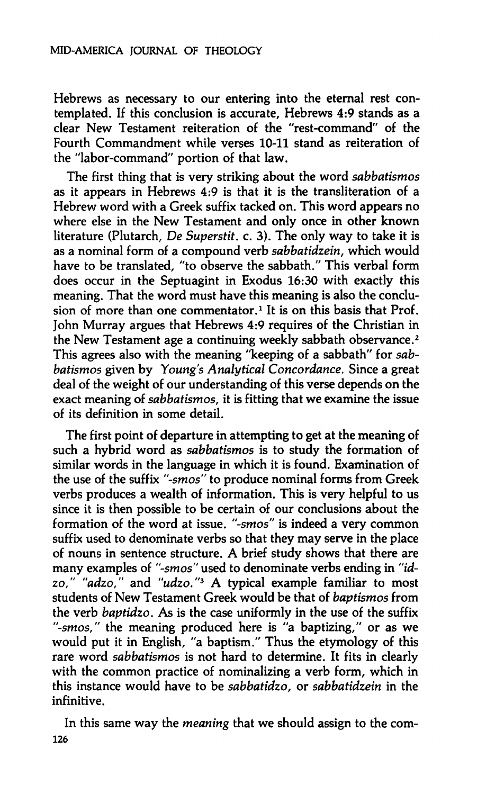**Hebrews as necessary to our entering into the eternal rest contemplated. If this conclusion is accurate, Hebrews 4:9 stands as a clear New Testament reiteration of the "rest-command" of the Fourth Commandment while verses 10-11 stand as reiteration of the "labor-command" portion of that law.** 

**The first thing that is very striking about the word** *sabbatismos*  **as it appears in Hebrews 4:9 is that it is the transliteration of a Hebrew word with a Greek suffix tacked on. This word appears no where else in the New Testament and only once in other known literature (Plutarch,** *De Superstit.* **c. 3). The only way to take it is as a nominal form of a compound verb** *sabbatidzein,* **which would have to be translated, "to observe the sabbath." This verbal form does occur in the Septuagint in Exodus 16:30 with exactly this meaning. That the word must have this meaning is also the conclusion of more than one commentator.<sup>1</sup> It is on this basis that Prof. John Murray argues that Hebrews 4:9 requires of the Christian in the New Testament age a continuing weekly sabbath observance.<sup>2</sup> This agrees also with the meaning "keeping of a sabbath" for** *sabbatismos* given by Young's Analytical Concordance. Since a great **deal of the weight of our understanding of this verse depends on the exact meaning of** *sabbatismos,* **it is fitting that we examine the issue of its definition in some detail.** 

**The first point of departure in attempting to get at the meaning of such a hybrid word as** *sabbatismos* **is to study the formation of similar words in the language in which it is found. Examination of the use of the suffix** *"-smos"* **to produce nominal forms from Greek verbs produces a wealth of information. This is very helpful to us since it is then possible to be certain of our conclusions about the formation of the word at issue,** *"-smos"* **is indeed a very common suffix used to denominate verbs so that they may serve in the place of nouns in sentence structure. A brief study shows that there are many examples of** *"-smos"* **used to denominate verbs ending in** *"idzo," "adzo,"* **and** *"udzo."<sup>3</sup>*  **A typical example familiar to most students of New Testament Greek would be that of** *baptismos* **from the verb** *baptidzo.* **As is the case uniformly in the use of the suffix**  *"-smos,"* **the meaning produced here is "a baptizing," or as we would put it in English, "a baptism." Thus the etymology of this rare word** *sabbatismos* **is not hard to determine. It fits in clearly with the common practice of nominalizing a verb form, which in this instance would have to be** *sabbatidzo,* **or** *sabbatidzein* **in the infinitive.** 

**In this same way the** *meaning* **that we should assign to the com-126**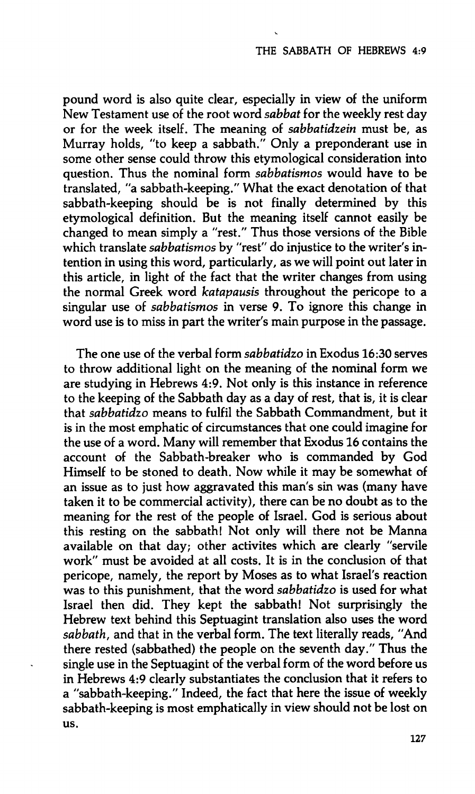**pound word is also quite clear, especially in view of the uniform New Testament use of the root word** *sabbat* **for the weekly rest day or for the week itself. The meaning of** *sabbatidzein* **must be, as Murray holds, "to keep a sabbath." Only a preponderant use in some other sense could throw this etymological consideration into question. Thus the nominal form** *sabbatismos* **would have to be translated, "a sabbath-keeping." What the exact denotation of that sabbath-keeping should be is not finally determined by this etymological definition. But the meaning itself cannot easily be changed to mean simply a "rest." Thus those versions of the Bible which translate** *sabbatismos* **by "rest" do injustice to the writer's intention in using this word, particularly, as we will point out later in this article, in light of the fact that the writer changes from using the normal Greek word** *katapausis* **throughout the pericope to a singular use of** *sabbatismos* **in verse 9. To ignore this change in word use is to miss in part the writer's main purpose in the passage.** 

**The one use of the verbal form** *sabbatidzo* **in Exodus 16:30 serves to throw additional light on the meaning of the nominal form we are studying in Hebrews 4:9. Not only is this instance in reference to the keeping of the Sabbath day as a day of rest, that is, it is clear that** *sabbatidzo* **means to fulfil the Sabbath Commandment, but it is in the most emphatic of circumstances that one could imagine for the use of a word. Many will remember that Exodus 16 contains the account of the Sabbath-breaker who is commanded by God Himself to be stoned to death. Now while it may be somewhat of an issue as to just how aggravated this man's sin was (many have taken it to be commercial activity), there can be no doubt as to the meaning for the rest of the people of Israel. God is serious about this resting on the sabbath! Not only will there not be Manna available on that day; other activités which are clearly "servile work" must be avoided at all costs. It is in the conclusion of that pericope, namely, the report by Moses as to what Israel's reaction was to this punishment, that the word** *sabbatidzo* **is used for what Israel then did. They kept the sabbath! Not surprisingly the Hebrew text behind this Septuagint translation also uses the word**  *sabbath,* **and that in the verbal form. The text literally reads, "And there rested (sabbathed) the people on the seventh day." Thus the single use in the Septuagint of the verbal form of the word before us in Hebrews 4:9 clearly substantiates the conclusion that it refers to a "sabbath-keeping." Indeed, the fact that here the issue of weekly sabbath-keeping is most emphatically in view should not be lost on us.**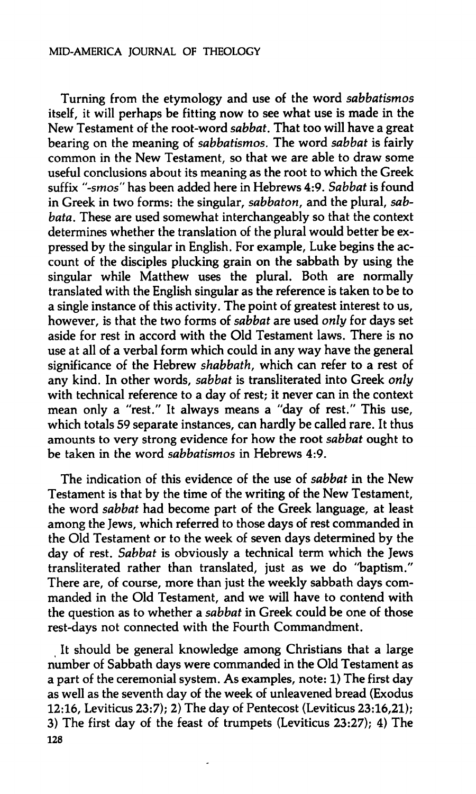#### **MID-AMERICA JOURNAL OF THEOLOGY**

**Turning from the etymology and use of the word** *sabbatismos*  **itself, it will perhaps be fitting now to see what use is made in the New Testament of the root-word** *sabbat.* **That too will have a great bearing on the meaning of** *sabbatismos.* **The word** *sabbat* **is fairly common in the New Testament, so that we are able to draw some useful conclusions about its meaning as the root to which the Greek suffix** *"-smos"* **has been added here in Hebrews 4:9.** *Sabbat* **is found in Greek in two forms: the singular,** *sabbaton,* **and the plural,** *sabbata.* **These are used somewhat interchangeably so that the context determines whether the translation of the plural would better be expressed by the singular in English. For example, Luke begins the account of the disciples plucking grain on the sabbath by using the singular while Matthew uses the plural. Both are normally translated with the English singular as the reference is taken to be to a single instance of this activity. The point of greatest interest to us, however, is that the two forms of** *sabbat* **are used** *only* **for days set aside for rest in accord with the Old Testament laws. There is no use at all of a verbal form which could in any way have the general significance of the Hebrew** *shabbath,* **which can refer to a rest of any kind. In other words,** *sabbat* **is transliterated into Greek** *only*  **with technical reference to a day of rest; it never can in the context mean only a "rest." It always means a "day of rest." This use, which totals 59 separate instances, can hardly be called rare. It thus amounts to very strong evidence for how the root** *sabbat* **ought to be taken in the word** *sabbatismos* **in Hebrews 4:9.** 

**The indication of this evidence of the use of** *sabbat* **in the New Testament is that by the time of the writing of the New Testament, the word** *sabbat* **had become part of the Greek language, at least among the Jews, which referred to those days of rest commanded in the Old Testament or to the week of seven days determined by the day of rest.** *Sabbat* **is obviously a technical term which the Jews transliterated rather than translated, just as we do "baptism." There are, of course, more than just the weekly sabbath days commanded in the Old Testament, and we will have to contend with the question as to whether a** *sabbat* **in Greek could be one of those rest-days not connected with the Fourth Commandment.** 

**It should be general knowledge among Christians that a large number of Sabbath days were commanded in the Old Testament as a part of the ceremonial system. As examples, note: 1) The first day as well as the seventh day of the week of unleavened bread (Exodus 12:16, Leviticus 23:7); 2) The day of Pentecost (Leviticus 23:16,21); 3) The first day of the feast of trumpets (Leviticus 23:27); 4) The 128**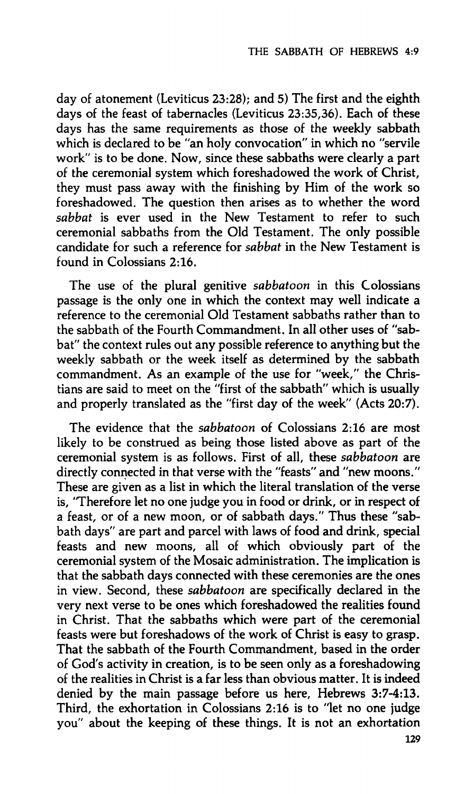**day of atonement (Leviticus 23:28); and 5) The first and the eighth days of the feast of tabernacles (Leviticus 23:35,36). Each of these days has the same requirements as those of the weekly sabbath which is declared to be "an holy convocation" in which no "servile work" is to be done. Now, since these sabbaths were clearly a part of the ceremonial system which foreshadowed the work of Christ, they must pass away with the finishing by Him of the work so foreshadowed. The question then arises as to whether the word**  *sabbat* **is ever used in the New Testament to refer to such ceremonial sabbaths from the Old Testament. The only possible candidate for such a reference for** *sabbat* **in the New Testament is found in Colossians 2:16.** 

**The use of the plural genitive** *sabbatoon* **in this Colossians passage is the only one in which the context may well indicate a reference to the ceremonial Old Testament sabbaths rather than to the sabbath of the Fourth Commandment. In all other uses of "sabbat" the context rules out any possible reference to anything but the weekly sabbath or the week itself as determined by the sabbath commandment. As an example of the use for "week," the Christians are said to meet on the "first of the sabbath" which is usually and properly translated as the "first day of the week" (Acts 20:7).** 

**The evidence that the** *sabbatoon* **of Colossians 2:16 are most likely to be construed as being those listed above as part of the ceremonial system is as follows. First of all, these** *sabbatoon* **are directly connected in that verse with the "feasts" and "new moons." These are given as a list in which the literal translation of the verse is, 'Therefore let no one judge you in food or drink, or in respect of a feast, or of a new moon, or of sabbath days." Thus these "sabbath days" are part and parcel with laws of food and drink, special feasts and new moons, all of which obviously part of the ceremonial system of the Mosaic administration. The implication is that the sabbath days connected with these ceremonies are the ones in view. Second, these** *sabbatoon* **are specifically declared in the very next verse to be ones which foreshadowed the realities found in Christ. That the sabbaths which were part of the ceremonial feasts were but foreshadows of the work of Christ is easy to grasp. That the sabbath of the Fourth Commandment, based in the order of God's activity in creation, is to be seen only as a foreshadowing of the realities in Christ is a far less than obvious matter. It is indeed denied by the main passage before us here, Hebrews 3:7-4:13. Third, the exhortation in Colossians 2:16 is to "let no one judge you" about the keeping of these things. It is not an exhortation**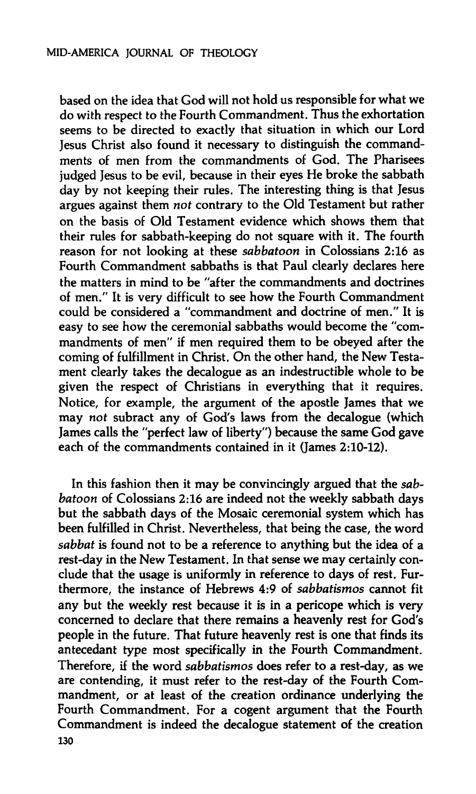**based on the idea that God will not hold us responsible for what we do with respect to the Fourth Commandment. Thus the exhortation seems to be directed to exactly that situation in which our Lord Jesus Christ also found it necessary to distinguish the commandments of men from the commandments of God. The Pharisees judged Jesus to be evil, because in their eyes He broke the sabbath day by not keeping their rules. The interesting thing is that Jesus argues against them** *not* **contrary to the Old Testament but rather on the basis of Old Testament evidence which shows them that their rules for sabbath-keeping do not square with it. The fourth reason for not looking at these** *sabbatoon* **in Colossians 2:16 as Fourth Commandment sabbaths is that Paul clearly declares here the matters in mind to be "after the commandments and doctrines of men." It is very difficult to see how the Fourth Commandment could be considered a "commandment and doctrine of men." It is easy to see how the ceremonial sabbaths would become the "commandments of men" if men required them to be obeyed after the coming of fulfillment in Christ. On the other hand, the New Testament clearly takes the decalogue as an indestructible whole to be given the respect of Christians in everything that it requires. Notice, for example, the argument of the apostle James that we may** *not* **subract any of God's laws from the decalogue (which James calls the "perfect law of liberty") because the same God gave each of the commandments contained in it (James 2:10-12).** 

**In this fashion then it may be convincingly argued that the** *sabbatoon* **of Colossians 2:16 are indeed not the weekly sabbath days but the sabbath days of the Mosaic ceremonial system which has been fulfilled in Christ. Nevertheless, that being the case, the word**  *sabbat* **is found not to be a reference to anything but the idea of a rest-day in the New Testament. In that sense we may certainly conclude that the usage is uniformly in reference to days of rest. Furthermore, the instance of Hebrews 4:9 of** *sabbatismos* **cannot fit any but the weekly rest because it is in a pericope which is very concerned to declare that there remains a heavenly rest for God's people in the future. That future heavenly rest is one that finds its antecedant type most specifically in the Fourth Commandment. Therefore, if the word** *sabbatismos* **does refer to a rest-day, as we are contending, it must refer to the rest-day of the Fourth Commandment, or at least of the creation ordinance underlying the Fourth Commandment. For a cogent argument that the Fourth Commandment is indeed the decalogue statement of the creation 130**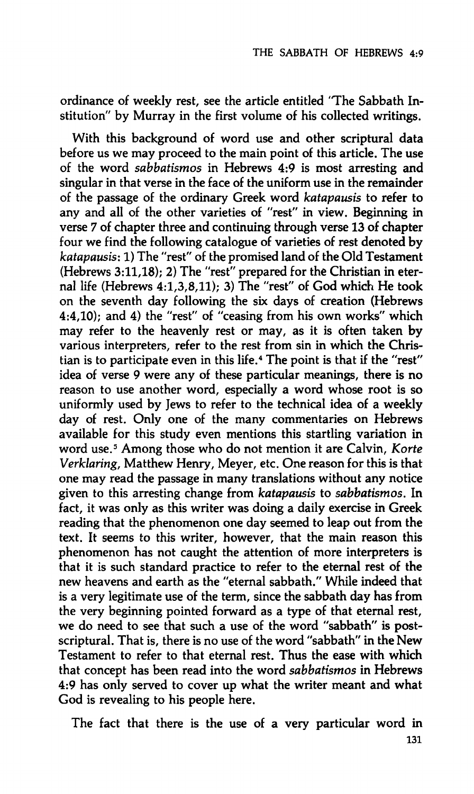**ordinance of weekly rest, see the article entitled 'The Sabbath Institution" by Murray in the first volume of his collected writings.** 

**With this background of word use and other scriptural data before us we may proceed to the main point of this article. The use of the word** *sabbatismos* **in Hebrews 4:9 is most arresting and singular in that verse in the face of the uniform use in the remainder of the passage of the ordinary Greek word** *katapausis* **to refer to any and all of the other varieties of "rest" in view. Beginning in verse 7 of chapter three and continuing through verse 13 of chapter four we find the following catalogue of varieties of rest denoted by**  *katapausis:* **1) The "rest" of the promised land of the Old Testament (Hebrews 3:11,18); 2) The "rest" prepared for the Christian in eternal life (Hebrews 4:1,3,8,11); 3) The "rest" of God which He took on the seventh day following the six days of creation (Hebrews 4:4,10); and 4) the "rest" of "ceasing from his own works" which may refer to the heavenly rest or may, as it is often taken by various interpreters, refer to the rest from sin in which the Christian is to participate even in this life.<sup>4</sup> The point is that if the "rest" idea of verse 9 were any of these particular meanings, there is no reason to use another word, especially a word whose root is so uniformly used by Jews to refer to the technical idea of a weekly day of rest. Only one of the many commentaries on Hebrews available for this study even mentions this startling variation in word use.<sup>5</sup> Among those who do not mention it are Calvin,** *Korte Verklaring,* **Matthew Henry, Meyer, etc. One reason for this is that one may read the passage in many translations without any notice given to this arresting change from** *katapausis* **to** *sabbatismos.* **In fact, it was only as this writer was doing a daily exercise in Greek reading that the phenomenon one day seemed to leap out from the text. It seems to this writer, however, that the main reason this phenomenon has not caught the attention of more interpreters is that it is such standard practice to refer to the eternal rest of the new heavens and earth as the "eternal sabbath." While indeed that is a very legitimate use of the term, since the sabbath day has from the very beginning pointed forward as a type of that eternal rest, we do need to see that such a use of the word "sabbath" is postscriptural. That is, there is no use of the word "sabbath" in the New Testament to refer to that eternal rest. Thus the ease with which that concept has been read into the word** *sabbatismos* **in Hebrews 4:9 has only served to cover up what the writer meant and what God is revealing to his people here.** 

**The fact that there is the use of a very particular word in**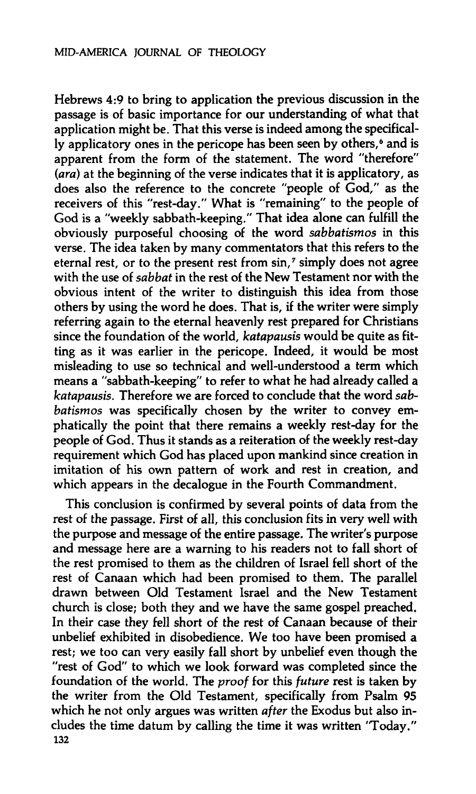**Hebrews 4:9 to bring to application the previous discussion in the passage is of basic importance for our understanding of what that application might be. That this verse is indeed among the specifically applicatory ones in the pericope has been seen by others,<sup>6</sup> and is apparent from the form of the statement. The word "therefore"**  *(ara)* **at the beginning of the verse indicates that it is applicatory, as does also the reference to the concrete "people of God," as the receivers of this "rest-day." What is "remaining" to the people of God is a "weekly sabbath-keeping." That idea alone can fulfill the obviously purposeful choosing of the word** *sabbatismos* **in this verse. The idea taken by many commentators that this refers to the eternal rest, or to the present rest from sin,<sup>7</sup> simply does not agree with the use of** *sabbat* **in the rest of the New Testament nor with the obvious intent of the writer to distinguish this idea from those others by using the word he does. That is, if the writer were simply referring again to the eternal heavenly rest prepared for Christians since the foundation of the world,** *katapausis* **would be quite as fitting as it was earlier in the pericope. Indeed, it would be most misleading to use so technical and well-understood a term which means a "sabbath-keeping" to refer to what he had already called a**  *katapausis.* **Therefore we are forced to conclude that the word** *sabbatismos* **was specifically chosen by the writer to convey emphatically the point that there remains a weekly rest-day for the people of God. Thus it stands as a reiteration of the weekly rest-day requirement which God has placed upon mankind since creation in imitation of his own pattern of work and rest in creation, and which appears in the decalogue in the Fourth Commandment.** 

**This conclusion is confirmed by several points of data from the rest of the passage. First of all, this conclusion fits in very well with the purpose and message of the entire passage. The writer's purpose and message here are a warning to his readers not to fall short of the rest promised to them as the children of Israel fell short of the rest of Canaan which had been promised to them. The parallel drawn between Old Testament Israel and the New Testament church is close; both they and we have the same gospel preached. In their case they fell short of the rest of Canaan because of their unbelief exhibited in disobedience. We too have been promised a rest; we too can very easily fall short by unbelief even though the "rest of God" to which we look forward was completed since the foundation of the world. The** *proof* **for this** *future* **rest is taken by the writer from the Old Testament, specifically from Psalm 95 which he not only argues was written** *after* **the Exodus but also includes the time datum by calling the time it was written 'Today." 132**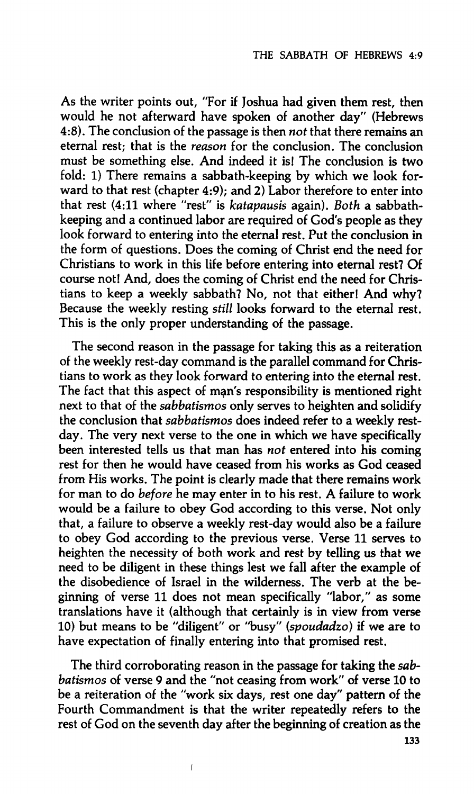**As the writer points out, "For if Joshua had given them rest, then would he not afterward have spoken of another day" (Hebrews 4:8). The conclusion of the passage is then** *not* **that there remains an eternal rest; that is the** *reason* **for the conclusion. The conclusion must be something else. And indeed it is! The conclusion is two fold: 1) There remains a sabbath-keeping by which we look forward to that rest (chapter 4:9); and 2) Labor therefore to enter into that rest (4:11 where "rest" is** *katapausis* **again).** *Both* **a sabbathkeeping and a continued labor are required of God's people as they look forward to entering into the eternal rest. Put the conclusion in the form of questions. Does the coming of Christ end the need for Christians to work in this life before entering into eternal rest? Of course not! And, does the coming of Christ end the need for Christians to keep a weekly sabbath? No, not that either! And why? Because the weekly resting** *still* **looks forward to the eternal rest. This is the only proper understanding of the passage.** 

**The second reason in the passage for taking this as a reiteration of the weekly rest-day command is the parallel command for Christians to work as they look forward to entering into the eternal rest. The fact that this aspect of man's responsibility is mentioned right next to that of the** *sabbatismos* **only serves to heighten and solidify the conclusion that** *sabbatismos* **does indeed refer to a weekly restday. The very next verse to the one in which we have specifically been interested tells us that man has** *not* **entered into his coming rest for then he would have ceased from his works as God ceased from His works. The point is clearly made that there remains work for man to do** *before* **he may enter in to his rest. A failure to work would be a failure to obey God according to this verse. Not only that, a failure to observe a weekly rest-day would also be a failure to obey God according to the previous verse. Verse 11 serves to heighten the necessity of both work and rest by telling us that we need to be diligent in these things lest we fall after the example of the disobedience of Israel in the wilderness. The verb at the beginning of verse 11 does not mean specifically "labor," as some translations have it (although that certainly is in view from verse 10) but means to be "diligent" or "busy"** *(spoudadzo)* **if we are to have expectation of finally entering into that promised rest.** 

**The third corroborating reason in the passage for taking the** *sabbatismos* **of verse 9 and the "not ceasing from work" of verse 10 to be a reiteration of the "work six days, rest one day" pattern of the Fourth Commandment is that the writer repeatedly refers to the rest of God on the seventh day after the beginning of creation as the** 

**ι**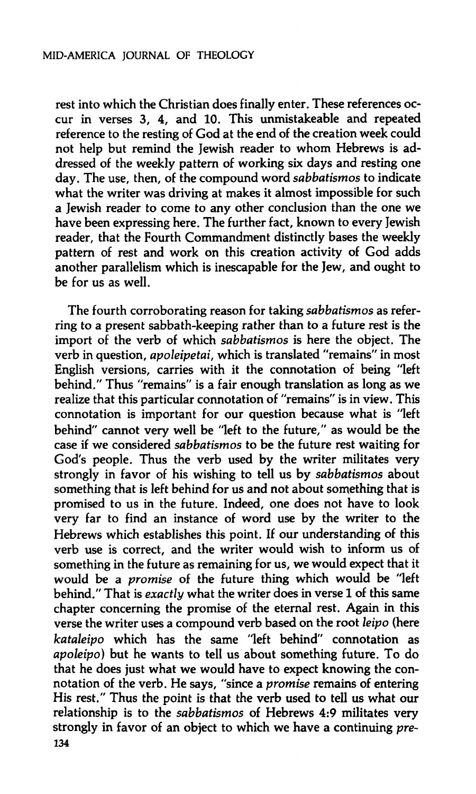**rest into which the Christian does finally enter. These references occur in verses 3, 4, and 10. This unmistakeable and repeated reference to the resting of God at the end of the creation week could not help but remind the Jewish reader to whom Hebrews is addressed of the weekly pattern of working six days and resting one day. The use, then, of the compound word** *sabbatismos* **to indicate what the writer was driving at makes it almost impossible for such a Jewish reader to come to any other conclusion than the one we have been expressing here. The further fact, known to every Jewish reader, that the Fourth Commandment distinctly bases the weekly pattern of rest and work on this creation activity of God adds another parallelism which is inescapable for the Jew, and ought to be for us as well.** 

**The fourth corroborating reason for taking** *sabbatismos* **as referring to a present sabbath-keeping rather than to a future rest is the import of the verb of which** *sabbatismos* **is here the object. The verb in question,** *apoleipetai,* **which is translated "remains" in most English versions, carries with it the connotation of being "left behind." Thus "remains" is a fair enough translation as long as we realize that this particular connotation of "remains" is in view. This connotation is important for our question because what is "left behind" cannot very well be "left to the future," as would be the case if we considered** *sabbatismos* **to be the future rest waiting for God's people. Thus the verb used by the writer militates very strongly in favor of his wishing to tell us by** *sabbatismos* **about something that is left behind for us and not about something that is promised to us in the future. Indeed, one does not have to look very far to find an instance of word use by the writer to the Hebrews which establishes this point. If our understanding of this verb use is correct, and the writer would wish to inform us of something in the future as remaining for us, we would expect that it would be a** *promise* **of the future thing which would be "left behind." That is** *exactly* **what the writer does in verse 1 of this same chapter concerning the promise of the eternal rest. Again in this verse the writer uses a compound verb based on the root** *leipo* **(here**  *kataleipo* **which has the same "left behind" connotation as**  *apoleipo)* **but he wants to tell us about something future. To do that he does just what we would have to expect knowing the connotation of the verb. He says, "since a** *promise* **remains of entering His rest." Thus the point is that the verb used to tell us what our relationship is to the** *sabbatismos* **of Hebrews 4:9 militates very strongly in favor of an object to which we have a continuing** *pre-***134**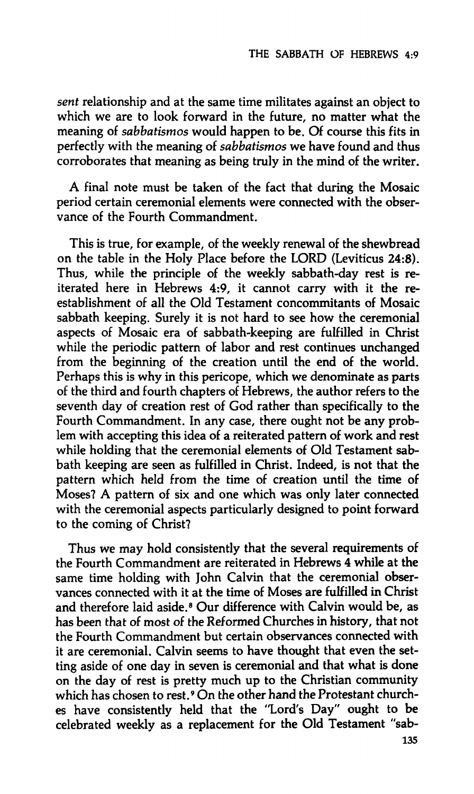*sent* **relationship and at the same time militates against an object to which we are to look forward in the future, no matter what the meaning of** *sabbatismos* **would happen to be. Of course this fits in perfectly with the meaning of** *sabbatismos* **we have found and thus corroborates that meaning as being truly in the mind of the writer.** 

**A final note must be taken of the fact that during the Mosaic period certain ceremonial elements were connected with the observance of the Fourth Commandment.** 

**This is true, for example, of the weekly renewal of the shewbread on the table in the Holy Place before the LORD (Leviticus 24:8). Thus, while the principle of the weekly sabbath-day rest is reiterated here in Hebrews 4:9, it cannot carry with it the reestablishment of all the Old Testament concommitants of Mosaic sabbath keeping. Surely it is not hard to see how the ceremonial aspects of Mosaic era of sabbath-keeping are fulfilled in Christ while the periodic pattern of labor and rest continues unchanged from the beginning of the creation until the end of the world. Perhaps this is why in this pericope, which we denominate as parts of the third and fourth chapters of Hebrews, the author refers to the seventh day of creation rest of God rather than specifically to the Fourth Commandment. In any case, there ought not be any problem with accepting this idea of a reiterated pattern of work and rest while holding that the ceremonial elements of Old Testament sabbath keeping are seen as fulfilled in Christ. Indeed, is not that the pattern which held from the time of creation until the time of Moses? A pattern of six and one which was only later connected with the ceremonial aspects particularly designed to point forward to the coming of Christ?** 

**Thus we may hold consistently that the several requirements of the Fourth Commandment are reiterated in Hebrews 4 while at the same time holding with John Calvin that the ceremonial observances connected with it at the time of Moses are fulfilled in Christ and therefore laid aside.<sup>8</sup> Our difference with Calvin would be, as has been that of most of the Reformed Churches in history, that not the Fourth Commandment but certain observances connected with it are ceremonial. Calvin seems to have thought that even the setting aside of one day in seven is ceremonial and that what is done on the day of rest is pretty much up to the Christian community which has chosen to rest.<sup>9</sup> On the other hand the Protestant churches have consistently held that the "Lord's Day" ought to be celebrated weekly as a replacement for the Old Testament "sab-**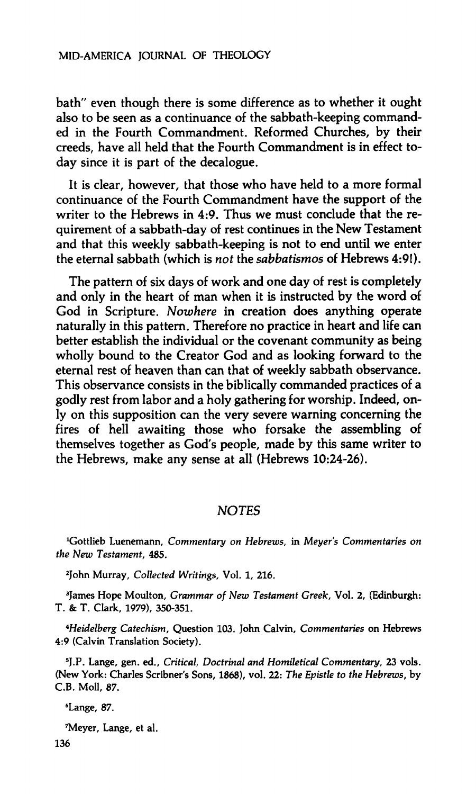#### **MID-AMERICA JOURNAL OF THEOLOGY**

**bath" even though there is some difference as to whether it ought also to be seen as a continuance of the sabbath-keeping commanded in the Fourth Commandment. Reformed Churches, by their creeds, have all held that the Fourth Commandment is in effect today since it is part of the decalogue.** 

**It is clear, however, that those who have held to a more formal continuance of the Fourth Commandment have the support of the writer to the Hebrews in 4:9. Thus we must conclude that the requirement of a sabbath-day of rest continues in the New Testament and that this weekly sabbath-keeping is not to end until we enter the eternal sabbath (which is** *not* **the** *sabbatismos* **of Hebrews 4:9!).** 

**The pattern of six days of work and one day of rest is completely and only in the heart of man when it is instructed by the word of God in Scripture.** *Nowhere* **in creation does anything operate naturally in this pattern. Therefore no practice in heart and life can better establish the individual or the covenant community as being wholly bound to the Creator God and as looking forward to the eternal rest of heaven than can that of weekly sabbath observance. This observance consists in the biblically commanded practices of a godly rest from labor and a holy gathering for worship. Indeed, only on this supposition can the very severe warning concerning the fires of hell awaiting those who forsake the assembling of themselves together as God's people, made by this same writer to the Hebrews, make any sense at all (Hebrews 10:24-26).** 

### *NOTES*

**Gottlieb Luenemann,** *Commentary on Hebrews,* **in** *Meyer's Commentaries on the New Testament,* **485.** 

**2 John Murray,** *Collected Writings,* **Vol. 1, 216.** 

**3 James Hope Moulton,** *Grammar of New Testament Greek,* **Vol. 2, (Edinburgh: T. & T. Clark, 1979), 350-351.** 

*^Heidelberg Catechism,* **Question 103. John Calvin,** *Commentaries* **on Hebrews 4:9 (Calvin Translation Society).** 

**5 J.P. Lange, gen. ed..** *Critical, Doctrinal and Homiletical Commentary,* **23 vols. (New York: Charles Scribner's Sons, 1868), vol. 22:** *The Epistle to the Hebrews,* **by C.B. Moll, 87.** 

**<sup>6</sup>Lange,** *87.* 

**<sup>7</sup>Meyer, Lange, et al.**